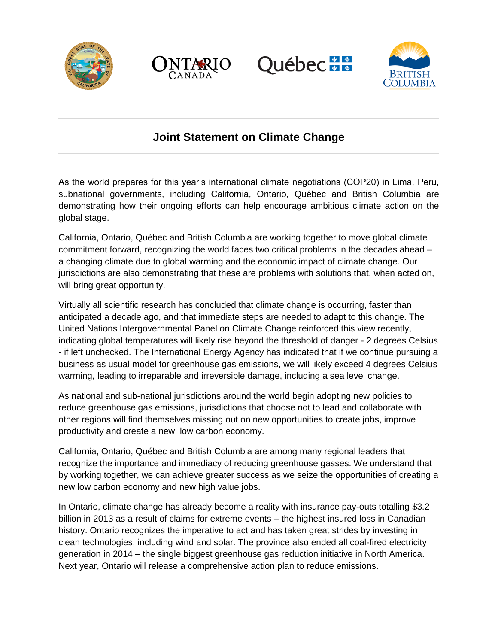







## **Joint Statement on Climate Change**

As the world prepares for this year's international climate negotiations (COP20) in Lima, Peru, subnational governments, including California, Ontario, Québec and British Columbia are demonstrating how their ongoing efforts can help encourage ambitious climate action on the global stage.

California, Ontario, Québec and British Columbia are working together to move global climate commitment forward, recognizing the world faces two critical problems in the decades ahead – a changing climate due to global warming and the economic impact of climate change. Our jurisdictions are also demonstrating that these are problems with solutions that, when acted on, will bring great opportunity.

Virtually all scientific research has concluded that climate change is occurring, faster than anticipated a decade ago, and that immediate steps are needed to adapt to this change. The United Nations Intergovernmental Panel on Climate Change reinforced this view recently, indicating global temperatures will likely rise beyond the threshold of danger - 2 degrees Celsius - if left unchecked. The International Energy Agency has indicated that if we continue pursuing a business as usual model for greenhouse gas emissions, we will likely exceed 4 degrees Celsius warming, leading to irreparable and irreversible damage, including a sea level change.

As national and sub-national jurisdictions around the world begin adopting new policies to reduce greenhouse gas emissions, jurisdictions that choose not to lead and collaborate with other regions will find themselves missing out on new opportunities to create jobs, improve productivity and create a new low carbon economy.

California, Ontario, Québec and British Columbia are among many regional leaders that recognize the importance and immediacy of reducing greenhouse gasses. We understand that by working together, we can achieve greater success as we seize the opportunities of creating a new low carbon economy and new high value jobs.

In Ontario, climate change has already become a reality with insurance pay-outs totalling \$3.2 billion in 2013 as a result of claims for extreme events – the highest insured loss in Canadian history. Ontario recognizes the imperative to act and has taken great strides by investing in clean technologies, including wind and solar. The province also ended all coal-fired electricity generation in 2014 – the single biggest greenhouse gas reduction initiative in North America. Next year, Ontario will release a comprehensive action plan to reduce emissions.